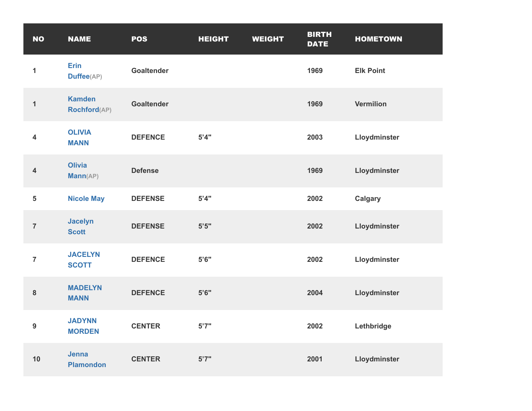| <b>NO</b>               | <b>NAME</b>                      | <b>POS</b>        | <b>HEIGHT</b> | <b>WEIGHT</b> | <b>BIRTH</b><br><b>DATE</b> | <b>HOMETOWN</b>  |
|-------------------------|----------------------------------|-------------------|---------------|---------------|-----------------------------|------------------|
| $\mathbf{1}$            | <b>Erin</b><br>Duffee(AP)        | <b>Goaltender</b> |               |               | 1969                        | <b>Elk Point</b> |
| $\mathbf{1}$            | <b>Kamden</b><br>Rochford(AP)    | <b>Goaltender</b> |               |               | 1969                        | <b>Vermilion</b> |
| 4                       | <b>OLIVIA</b><br><b>MANN</b>     | <b>DEFENCE</b>    | 5'4"          |               | 2003                        | Lloydminster     |
| $\overline{\mathbf{4}}$ | <b>Olivia</b><br>Mann(AP)        | <b>Defense</b>    |               |               | 1969                        | Lloydminster     |
| 5                       | <b>Nicole May</b>                | <b>DEFENSE</b>    | 5'4"          |               | 2002                        | <b>Calgary</b>   |
| $\overline{7}$          | <b>Jacelyn</b><br><b>Scott</b>   | <b>DEFENSE</b>    | $5'5"$        |               | 2002                        | Lloydminster     |
| $\overline{7}$          | <b>JACELYN</b><br><b>SCOTT</b>   | <b>DEFENCE</b>    | 5'6''         |               | 2002                        | Lloydminster     |
| ${\bf 8}$               | <b>MADELYN</b><br><b>MANN</b>    | <b>DEFENCE</b>    | $5'6"$        |               | 2004                        | Lloydminster     |
| $\boldsymbol{9}$        | <b>JADYNN</b><br><b>MORDEN</b>   | <b>CENTER</b>     | 5'7''         |               | 2002                        | Lethbridge       |
| 10                      | <b>Jenna</b><br><b>Plamondon</b> | <b>CENTER</b>     | 5'7''         |               | 2001                        | Lloydminster     |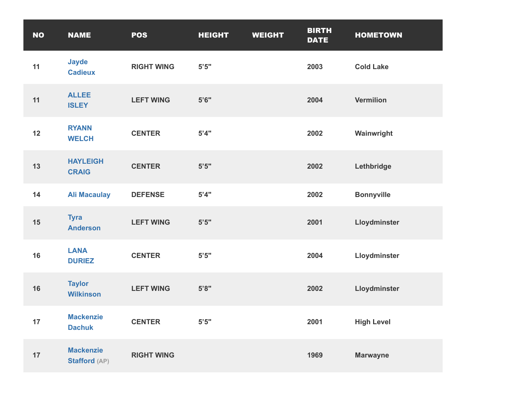| <b>NO</b> | <b>NAME</b>                       | <b>POS</b>        | <b>HEIGHT</b> | <b>WEIGHT</b> | <b>BIRTH</b><br><b>DATE</b> | <b>HOMETOWN</b>   |
|-----------|-----------------------------------|-------------------|---------------|---------------|-----------------------------|-------------------|
| 11        | <b>Jayde</b><br><b>Cadieux</b>    | <b>RIGHT WING</b> | 5'5"          |               | 2003                        | <b>Cold Lake</b>  |
| 11        | <b>ALLEE</b><br><b>ISLEY</b>      | <b>LEFT WING</b>  | 5'6''         |               | 2004                        | <b>Vermilion</b>  |
| 12        | <b>RYANN</b><br><b>WELCH</b>      | <b>CENTER</b>     | 5'4"          |               | 2002                        | Wainwright        |
| 13        | <b>HAYLEIGH</b><br><b>CRAIG</b>   | <b>CENTER</b>     | 5'5"          |               | 2002                        | Lethbridge        |
| 14        | <b>Ali Macaulay</b>               | <b>DEFENSE</b>    | 5'4"          |               | 2002                        | <b>Bonnyville</b> |
| 15        | <b>Tyra</b><br><b>Anderson</b>    | <b>LEFT WING</b>  | 5'5"          |               | 2001                        | Lloydminster      |
| 16        | <b>LANA</b><br><b>DURIEZ</b>      | <b>CENTER</b>     | 5'5"          |               | 2004                        | Lloydminster      |
| 16        | <b>Taylor</b><br><b>Wilkinson</b> | <b>LEFT WING</b>  | 5'8"          |               | 2002                        | Lloydminster      |
| 17        | <b>Mackenzie</b><br><b>Dachuk</b> | <b>CENTER</b>     | 5'5"          |               | 2001                        | <b>High Level</b> |
| 17        | <b>Mackenzie</b><br>Stafford (AP) | <b>RIGHT WING</b> |               |               | 1969                        | <b>Marwayne</b>   |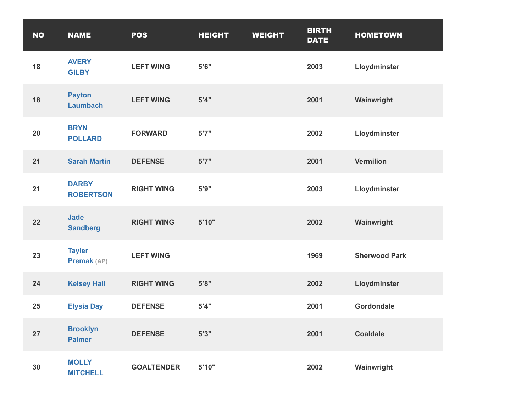| <b>NO</b> | <b>NAME</b>                      | <b>POS</b>        | <b>HEIGHT</b> | <b>WEIGHT</b> | <b>BIRTH</b><br><b>DATE</b> | <b>HOMETOWN</b>      |
|-----------|----------------------------------|-------------------|---------------|---------------|-----------------------------|----------------------|
| 18        | <b>AVERY</b><br><b>GILBY</b>     | <b>LEFT WING</b>  | 5'6''         |               | 2003                        | Lloydminster         |
| 18        | <b>Payton</b><br><b>Laumbach</b> | <b>LEFT WING</b>  | 5'4"          |               | 2001                        | Wainwright           |
| 20        | <b>BRYN</b><br><b>POLLARD</b>    | <b>FORWARD</b>    | 5'7''         |               | 2002                        | Lloydminster         |
| 21        | <b>Sarah Martin</b>              | <b>DEFENSE</b>    | 5'7''         |               | 2001                        | <b>Vermilion</b>     |
| 21        | <b>DARBY</b><br><b>ROBERTSON</b> | <b>RIGHT WING</b> | 5'9''         |               | 2003                        | Lloydminster         |
| 22        | <b>Jade</b><br><b>Sandberg</b>   | <b>RIGHT WING</b> | 5'10"         |               | 2002                        | Wainwright           |
| 23        | <b>Tayler</b><br>Premak (AP)     | <b>LEFT WING</b>  |               |               | 1969                        | <b>Sherwood Park</b> |
| 24        | <b>Kelsey Hall</b>               | <b>RIGHT WING</b> | 5'8"          |               | 2002                        | Lloydminster         |
| 25        | <b>Elysia Day</b>                | <b>DEFENSE</b>    | 5'4"          |               | 2001                        | Gordondale           |
| 27        | <b>Brooklyn</b><br><b>Palmer</b> | <b>DEFENSE</b>    | 5'3''         |               | 2001                        | <b>Coaldale</b>      |
| 30        | <b>MOLLY</b><br><b>MITCHELL</b>  | <b>GOALTENDER</b> | 5'10"         |               | 2002                        | Wainwright           |